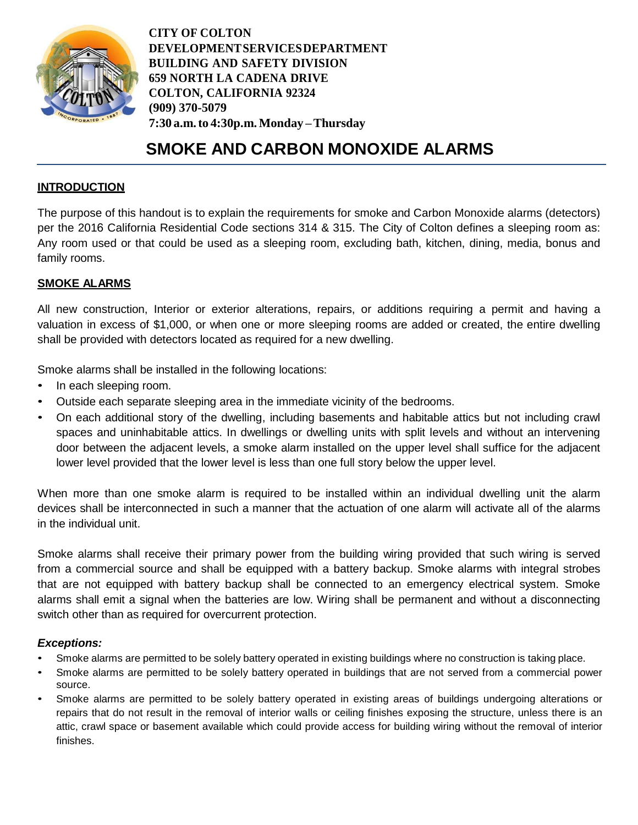

**CITY OF COLTON DEVELOPMENT SERVICES DEPARTMENT BUILDING AND SAFETY DIVISION 659 NORTH LA CADENA DRIVE COLTON, CALIFORNIA 92324 (909) 370-5079 7:30 a.m.to 4:30p.m. Monday – Thursday**

# **SMOKE AND CARBON MONOXIDE ALARMS**

## **INTRODUCTION**

The purpose of this handout is to explain the requirements for smoke and Carbon Monoxide alarms (detectors) per the 2016 California Residential Code sections 314 & 315. The City of Colton defines a sleeping room as: Any room used or that could be used as a sleeping room, excluding bath, kitchen, dining, media, bonus and family rooms.

## **SMOKE ALARMS**

All new construction, Interior or exterior alterations, repairs, or additions requiring a permit and having a valuation in excess of \$1,000, or when one or more sleeping rooms are added or created, the entire dwelling shall be provided with detectors located as required for a new dwelling.

Smoke alarms shall be installed in the following locations:

- In each sleeping room.
- Outside each separate sleeping area in the immediate vicinity of the bedrooms.
- On each additional story of the dwelling, including basements and habitable attics but not including crawl spaces and uninhabitable attics. In dwellings or dwelling units with split levels and without an intervening door between the adjacent levels, a smoke alarm installed on the upper level shall suffice for the adjacent lower level provided that the lower level is less than one full story below the upper level.

When more than one smoke alarm is required to be installed within an individual dwelling unit the alarm devices shall be interconnected in such a manner that the actuation of one alarm will activate all of the alarms in the individual unit.

Smoke alarms shall receive their primary power from the building wiring provided that such wiring is served from a commercial source and shall be equipped with a battery backup. Smoke alarms with integral strobes that are not equipped with battery backup shall be connected to an emergency electrical system. Smoke alarms shall emit a signal when the batteries are low. Wiring shall be permanent and without a disconnecting switch other than as required for overcurrent protection.

## *Exceptions:*

- Smoke alarms are permitted to be solely battery operated in existing buildings where no construction is taking place.
- Smoke alarms are permitted to be solely battery operated in buildings that are not served from a commercial power source.
- Smoke alarms are permitted to be solely battery operated in existing areas of buildings undergoing alterations or repairs that do not result in the removal of interior walls or ceiling finishes exposing the structure, unless there is an attic, crawl space or basement available which could provide access for building wiring without the removal of interior finishes.